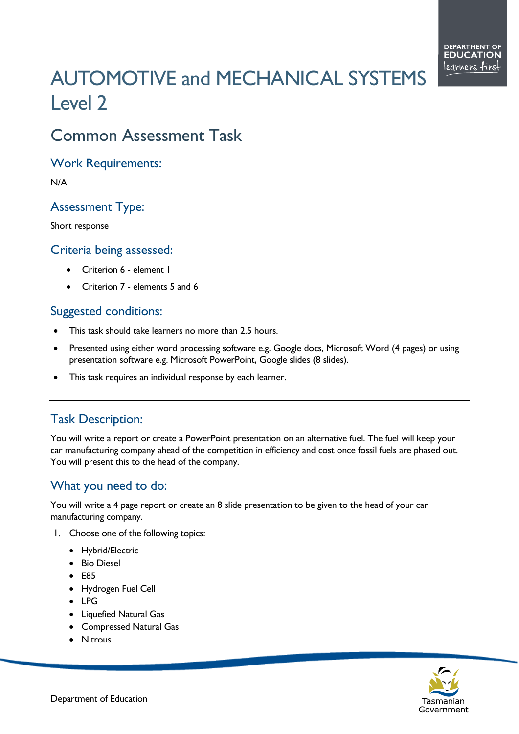# AUTOMOTIVE and MECHANICAL SYSTEMS Level 2

# Common Assessment Task

Work Requirements:

N/A

#### Assessment Type:

Short response

#### Criteria being assessed:

- Criterion 6 element 1
- Criterion 7 elements 5 and 6

#### Suggested conditions:

- This task should take learners no more than 2.5 hours.
- Presented using either word processing software e.g. Google docs, Microsoft Word (4 pages) or using presentation software e.g. Microsoft PowerPoint, Google slides (8 slides).
- This task requires an individual response by each learner.

## Task Description:

You will write a report or create a PowerPoint presentation on an alternative fuel. The fuel will keep your car manufacturing company ahead of the competition in efficiency and cost once fossil fuels are phased out. You will present this to the head of the company.

## What you need to do:

You will write a 4 page report or create an 8 slide presentation to be given to the head of your car manufacturing company.

- 1. Choose one of the following topics:
	- Hybrid/Electric
	- Bio Diesel
	- E85
	- Hydrogen Fuel Cell
	- LPG
	- Liquefied Natural Gas
	- Compressed Natural Gas
	- Nitrous